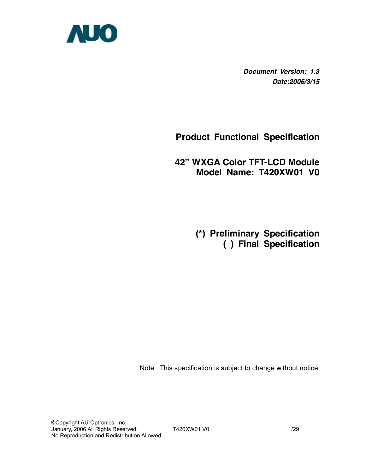

*Document Version: 1.3 Date:2006/3/15*

# **Product Functional Specification**

**42" WXGA Color TFT-LCD Module Model Name: T420XW01 V0** 

> **(\*) Preliminary Specification ( ) Final Specification**

Note : This specification is subject to change without notice.

©Copyright AU Optronics, Inc. January, 2006 All Rights Reserved. T420XW01 V0 1/29 No Reproduction and Redistribution Allowed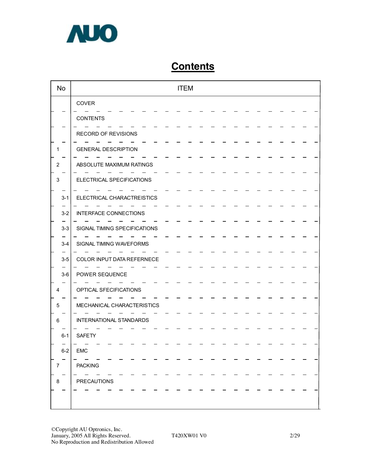

# **Contents**

| <b>No</b>      | <b>ITEM</b>                  |
|----------------|------------------------------|
|                | COVER                        |
|                | <b>CONTENTS</b>              |
|                | RECORD OF REVISIONS          |
| 1              | <b>GENERAL DESCRIPTION</b>   |
| $\overline{2}$ | ABSOLUTE MAXIMUM RATINGS     |
| 3              | ELECTRICAL SPECIFICATIONS    |
| $3 - 1$        | ELECTRICAL CHARACTREISTICS   |
| $3 - 2$        | <b>INTERFACE CONNECTIONS</b> |
| $3 - 3$        | SIGNAL TIMING SPECIFICATIONS |
| $3-4$          | SIGNAL TIMING WAVEFORMS      |
| $3-5$          | COLOR INPUT DATA REFERNECE   |
| $3-6$          | POWER SEQUENCE               |
| 4              | OPTICAL SFECIFICATIONS       |
|                |                              |
| 5              | MECHANICAL CHARACTERISTICS   |
| 6              | INTERNATIONAL STANDARDS      |
| $6 - 1$        | <b>SAFETY</b>                |
| $6-2$          | EMC                          |
| $\overline{7}$ | <b>PACKING</b>               |
| 8              | <b>PRECAUTIONS</b>           |
|                |                              |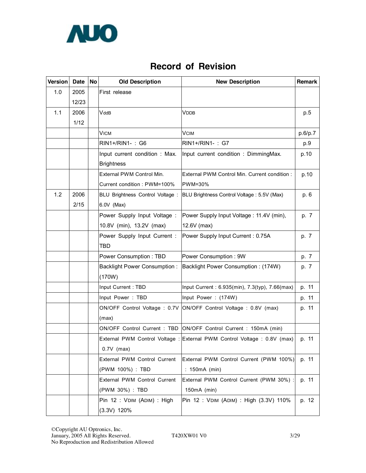

# **Record of Revision**

| <b>Version</b> | Date  | <b>No</b> | <b>Old Description</b>              | <b>New Description</b>                                                   | Remark  |
|----------------|-------|-----------|-------------------------------------|--------------------------------------------------------------------------|---------|
| 1.0            | 2005  |           | First release                       |                                                                          |         |
|                | 12/23 |           |                                     |                                                                          |         |
| 1.1            | 2006  |           | VddB                                | <b>VDDB</b>                                                              | p.5     |
|                | 1/12  |           |                                     |                                                                          |         |
|                |       |           | VICM                                | <b>VCIM</b>                                                              | p.6/p.7 |
|                |       |           | RIN1+/RIN1-: G6                     | RIN1+/RIN1-: G7                                                          | p.9     |
|                |       |           | Input current condition : Max.      | Input current condition : DimmingMax.                                    | p.10    |
|                |       |           | <b>Brightness</b>                   |                                                                          |         |
|                |       |           | External PWM Control Min.           | External PWM Control Min. Current condition :                            | p.10    |
|                |       |           | Current condition: PWM=100%         | PWM=30%                                                                  |         |
| 1.2            | 2006  |           | BLU Brightness Control Voltage :    | BLU Brightness Control Voltage: 5.5V (Max)                               | p. 6    |
|                | 2/15  |           | 6.0V (Max)                          |                                                                          |         |
|                |       |           | Power Supply Input Voltage:         | Power Supply Input Voltage: 11.4V (min),                                 | p. 7    |
|                |       |           | 10.8V (min), 13.2V (max)            | 12.6V (max)                                                              |         |
|                |       |           | Power Supply Input Current :        | Power Supply Input Current: 0.75A                                        | p. 7    |
|                |       |           | TBD                                 |                                                                          |         |
|                |       |           | Power Consumption: TBD              | Power Consumption: 9W                                                    | p. 7    |
|                |       |           | <b>Backlight Power Consumption:</b> | Backlight Power Consumption: (174W)                                      | p. 7    |
|                |       |           | (170W)                              |                                                                          |         |
|                |       |           | Input Current: TBD                  | Input Current: 6.935(min), 7.3(typ), 7.66(max)                           | p. 11   |
|                |       |           | Input Power: TBD                    | Input Power: (174W)                                                      | p. 11   |
|                |       |           | ON/OFF Control Voltage : 0.7V       | ON/OFF Control Voltage : 0.8V (max)                                      | p. 11   |
|                |       |           | (max)                               |                                                                          |         |
|                |       |           | ON/OFF Control Current : TBD        | ON/OFF Control Current: 150mA (min)                                      |         |
|                |       |           |                                     | External PWM Control Voltage : External PWM Control Voltage : 0.8V (max) | p. 11   |
|                |       |           | $0.7V$ (max)                        |                                                                          |         |
|                |       |           | External PWM Control Current        | External PWM Control Current (PWM 100%)                                  | p. 11   |
|                |       |           | (PWM 100%) : TBD                    | : 150mA (min)                                                            |         |
|                |       |           | External PWM Control Current        | External PWM Control Current (PWM 30%) :                                 | p. 11   |
|                |       |           | (PWM 30%) : TBD                     | 150mA (min)                                                              |         |
|                |       |           | Pin 12: VDIM (ADIM): High           | Pin 12: VDIM (ADIM): High (3.3V) 110%                                    | p. 12   |
|                |       |           | $(3.3V)$ 120%                       |                                                                          |         |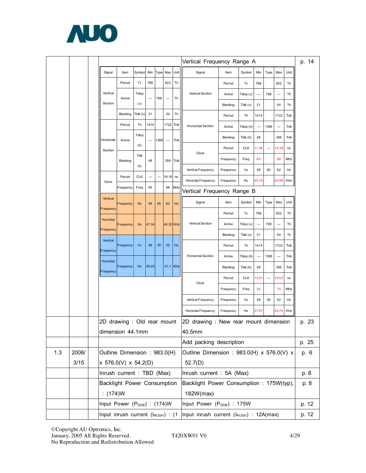

|     |       |                                                           |           |            |       |      | Vertical Frequency Range A |             |                                                                      |                            |            | p. 14 |                          |                          |      |              |  |
|-----|-------|-----------------------------------------------------------|-----------|------------|-------|------|----------------------------|-------------|----------------------------------------------------------------------|----------------------------|------------|-------|--------------------------|--------------------------|------|--------------|--|
|     |       | Signal                                                    | Item      | Symbol     | Min   | Type | Max                        | Unit        | Signal                                                               | Item                       | Symbol     | Min   | Type                     | Max                      | Unit |              |  |
|     |       |                                                           | Period    | Tv         | 789   |      | 822                        | Th          |                                                                      | Period                     | Tv         | 789   |                          | 822                      | Th   |              |  |
|     |       | Vertical                                                  | Active    | Tdisp      |       | 768  | -                          | Th          | Vertical Section                                                     | Active                     | Tdisp (v)  |       | 768                      |                          | Th   |              |  |
|     |       | Section                                                   |           | (v)        |       |      |                            |             |                                                                      | Blanking                   | Tblk (v)   | 21    |                          | 54                       | Th   |              |  |
|     |       |                                                           | Blanking  | Tblk (v)   | 21    |      | 54                         | Тh          |                                                                      | Period                     | Th         | 1414  |                          | 1722                     | Tclk |              |  |
|     |       |                                                           | Period    | Th         | 1414  |      | 1722                       | <b>Tclk</b> | <b>Horizontal Section</b>                                            | Active                     | Tdisp (h)  |       | 1366                     |                          | Tclk |              |  |
|     |       | Horizontal                                                | Active    | Tdisp      |       | 1366 | $\overline{\phantom{0}}$   | <b>Tclk</b> |                                                                      | Blanking                   | Tblk (h)   | 48    |                          | 356                      | Tclk |              |  |
|     |       | Section                                                   |           | (h)        |       |      |                            |             | Clock                                                                | Period                     | <b>CLK</b> | 11.36 | $\overline{\phantom{0}}$ | 15.38                    | ns   |              |  |
|     |       |                                                           | Blanking  | Tblk       | 48    |      | 356                        | Tclk        |                                                                      | Frequency                  | Freq       | 65    |                          | 88                       | MHz  |              |  |
|     |       |                                                           |           | (h)        |       |      |                            |             | Vertical Frequency                                                   | Frequency                  | Vs         | 58    | 60                       | 62                       | Hz   |              |  |
|     |       | Clock                                                     | Period    | <b>CLK</b> |       |      | 18.18                      | ns          | Horizntal Frequency                                                  | Frequency                  | Hs         | 45.76 |                          | 50.96                    | KHz  |              |  |
|     |       |                                                           | Frequency | Freq       | 55    |      | 88                         | MHz         | Vertical Frequency Range B                                           |                            |            |       |                          |                          |      |              |  |
|     |       | Vertical<br>Frequency                                     | Frequency | Hs         | 58    | 60   | 62                         | Hz          | Signal                                                               | Item                       | Symbol     | Min   | Type                     | Max                      | Unit |              |  |
|     |       | Horizntal                                                 |           |            |       |      |                            |             |                                                                      | Period                     | Tv         | 789   |                          | 822                      | Th   |              |  |
|     |       | Frequency                                                 | Frequency | Hs         | 47.34 |      | 49.32 KHz                  |             | Vertical Section                                                     | Active                     | Tdisp (v)  | —     | 768                      |                          | Th   |              |  |
|     |       | Vertical                                                  |           |            |       |      |                            |             |                                                                      | Blanking                   | Tblk (v)   | 21    |                          | 54                       | Th   |              |  |
|     |       | Frequency                                                 | Frequency | Vs         | 48    | 50   | 52                         | Hz          |                                                                      | Period                     | Th         | 1414  |                          | 1722                     | Tclk |              |  |
|     |       | Horizntal                                                 |           |            |       |      |                            |             | <b>Horizontal Section</b>                                            | Active                     | Tdisp (h)  |       | 1366                     | $\overline{\phantom{0}}$ | Tclk |              |  |
|     |       | Frequency                                                 | Frequency | Hs         | 39.45 |      | 41.1                       | KHz         |                                                                      | Blanking                   | Tblk (h)   | 48    |                          | 356                      | Tclk |              |  |
|     |       |                                                           |           |            |       |      |                            |             | Clock                                                                | Period                     | <b>CLK</b> | 13.51 | $\qquad \qquad -$        | 18.52                    | ns   |              |  |
|     |       |                                                           |           |            |       |      |                            |             |                                                                      | Frequency                  | Freq       | 54    |                          | 74                       | MHz  |              |  |
|     |       |                                                           |           |            |       |      |                            |             | Vertical Frequency                                                   | Frequency                  | Vs         | 48    | 50                       | 52                       | Hz   |              |  |
|     |       |                                                           |           |            |       |      |                            |             | Horizntal Frequency                                                  | Frequency                  | Hs         | 37.87 |                          | 42.74                    | KHz  |              |  |
|     |       | 2D drawing : Old rear mount                               |           |            |       |      |                            |             | 2D drawing                                                           | : New rear mount dimension |            |       |                          |                          |      | p. 23        |  |
|     |       | dimension 44.1mm                                          |           |            |       |      |                            |             | 40.5mm                                                               |                            |            |       |                          |                          |      |              |  |
|     |       |                                                           |           |            |       |      |                            |             | Add packing description                                              |                            |            |       |                          |                          |      | p. 25        |  |
| 1.3 | 2006/ | Outline Dimension : 983.0(H)                              |           |            |       |      |                            |             | Outline Dimension : 983.0(H) x 576.0(V) x                            |                            |            |       |                          |                          |      | p. 6         |  |
|     | 3/15  | x 576.0(V) x 54.2(D)                                      |           |            |       |      |                            |             | 52.7(D)                                                              |                            |            |       |                          |                          |      |              |  |
|     |       | Inrush current : TBD (Max)<br>Backlight Power Consumption |           |            |       |      |                            |             | Inrush current : 5A (Max)<br>Backlight Power Consumption: 175W(typ), |                            |            |       |                          |                          |      | p. 8<br>p. 8 |  |
|     |       | : $(174)W$                                                |           |            |       |      |                            |             | 182W(max)                                                            |                            |            |       |                          |                          |      |              |  |
|     |       | Input Power (P <sub>DDB</sub> ) : (174)W                  |           |            |       |      |                            |             | Input Power (P <sub>DDB</sub> ) : 175W                               |                            |            |       |                          |                          |      | p. 12        |  |
|     |       | Input inrush current (IRUSH) : (1                         |           |            |       |      |                            |             | Input inrush current (IRUSH) : 12A(max)                              |                            |            |       |                          |                          |      | p. 12        |  |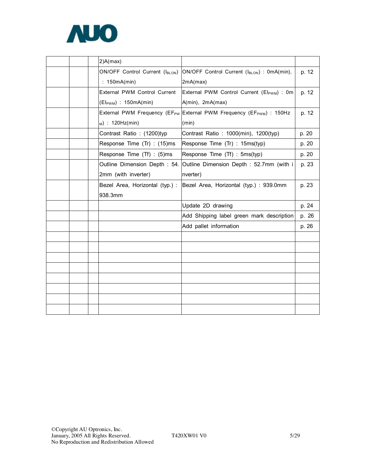

|  | 2)A(max)                         |                                                                                              |       |
|--|----------------------------------|----------------------------------------------------------------------------------------------|-------|
|  | ON/OFF Control Current (IBLON)   | ON/OFF Control Current (IBLON) : 0mA(min),                                                   | p. 12 |
|  | : 150mA(min)                     | 2mA(max)                                                                                     |       |
|  | External PWM Control Current     | External PWM Control Current (El <sub>PWM</sub> ) : 0m                                       | p. 12 |
|  | $(EI_{\text{PWM}})$ : 150mA(min) | A(min), 2mA(max)                                                                             |       |
|  |                                  | External PWM Frequency (EF <sub>PW</sub> External PWM Frequency (EF <sub>PWM</sub> ) : 150Hz | p. 12 |
|  | $M)$ : 120Hz(min)                | (min)                                                                                        |       |
|  | Contrast Ratio: (1200)typ        | Contrast Ratio: 1000(min), 1200(typ)                                                         | p. 20 |
|  | Response Time (Tr) : (15)ms      | Response Time (Tr) : 15ms(typ)                                                               | p. 20 |
|  | Response Time (Tf) : (5)ms       | Response Time (Tf) : 5ms(typ)                                                                | p. 20 |
|  |                                  | Outline Dimension Depth : 54. Outline Dimension Depth : 52.7mm (with i                       | p. 23 |
|  | 2mm (with inverter)              | nverter)                                                                                     |       |
|  | Bezel Area, Horizontal (typ.) :  | Bezel Area, Horizontal (typ.) : 939.0mm                                                      | p. 23 |
|  | 938.3mm                          |                                                                                              |       |
|  |                                  | Update 2D drawing                                                                            | p. 24 |
|  |                                  | Add Shipping label green mark description                                                    | p. 26 |
|  |                                  | Add pallet information                                                                       | p. 26 |
|  |                                  |                                                                                              |       |
|  |                                  |                                                                                              |       |
|  |                                  |                                                                                              |       |
|  |                                  |                                                                                              |       |
|  |                                  |                                                                                              |       |
|  |                                  |                                                                                              |       |
|  |                                  |                                                                                              |       |
|  |                                  |                                                                                              |       |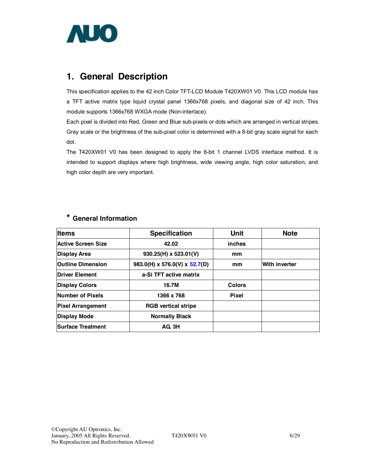

# **1. General Description**

This specification applies to the 42 inch Color TFT-LCD Module T420XW01 V0. This LCD module has a TFT active matrix type liquid crystal panel 1366x768 pixels, and diagonal size of 42 inch. This module supports 1366x768 WXGA mode (Non-interlace).

Each pixel is divided into Red, Green and Blue sub-pixels or dots which are arranged in vertical stripes. Gray scale or the brightness of the sub-pixel color is determined with a 8-bit gray scale signal for each dot.

The T420XW01 V0 has been designed to apply the 8-bit 1 channel LVDS interface method. It is intended to support displays where high brightness, wide viewing angle, high color saturation, and high color depth are very important.

| <b>Items</b>             | <b>Specification</b>          | <b>Unit</b>   | <b>Note</b>          |
|--------------------------|-------------------------------|---------------|----------------------|
| Active Screen Size       | 42.02                         | inches        |                      |
| <b>Display Area</b>      | $930.25(H) \times 523.01(V)$  | mm            |                      |
| <b>Outline Dimension</b> | 983.0(H) x 576.0(V) x 52.7(D) | mm            | <b>With inverter</b> |
| <b>Driver Element</b>    | a-Si TFT active matrix        |               |                      |
| <b>Display Colors</b>    | 16.7M                         | <b>Colors</b> |                      |
| Number of Pixels         | 1366 x 768                    | <b>Pixel</b>  |                      |
| <b>Pixel Arrangement</b> | <b>RGB</b> vertical stripe    |               |                      |
| <b>Display Mode</b>      | <b>Normally Black</b>         |               |                      |
| <b>Surface Treatment</b> | AG 3H                         |               |                      |

## **\* General Information**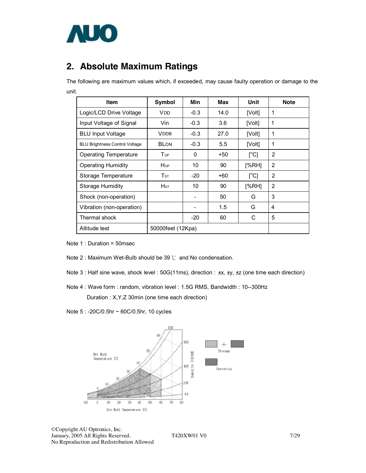

# **2. Absolute Maximum Ratings**

The following are maximum values which, if exceeded, may cause faulty operation or damage to the unit.

| <b>Item</b>                           | Symbol                     | Min               | Max  | Unit                      | <b>Note</b> |
|---------------------------------------|----------------------------|-------------------|------|---------------------------|-------------|
| Logic/LCD Drive Voltage               | V DD                       | $-0.3$            | 14.0 | [Volt]                    | 1           |
| Input Voltage of Signal               | Vin                        | $-0.3$            | 3.6  | [Volt]                    | 1           |
| <b>BLU Input Voltage</b>              | VDDB                       | $-0.3$            | 27.0 | [Volt]                    | 1           |
| <b>BLU Brightness Control Voltage</b> | <b>BLON</b>                | $-0.3$            | 5.5  | [Volt]                    | 1           |
| <b>Operating Temperature</b>          | <b>T</b> <sub>OP</sub>     | 0                 | +50  | $\lceil{^{\circ}C}\rceil$ | 2           |
| <b>Operating Humidity</b>             | Hop                        | 10                | 90   | [%RH]                     | 2           |
| Storage Temperature                   | $\mathsf{T}_{\texttt{ST}}$ | -20               | +60  | $\mathsf{I}^{\circ}$ Cl   | 2           |
| Storage Humidity                      | Hsт                        | 10                | 90   | [%RH]                     | 2           |
| Shock (non-operation)                 |                            |                   | 50   | G                         | 3           |
| Vibration (non-operation)             |                            |                   | 1.5  | G                         | 4           |
| Thermal shock                         |                            | -20               | 60   | C                         | 5           |
| Altitude test                         |                            | 50000feet (12Kpa) |      |                           |             |

Note 1 : Duration = 50msec

- Note 2 : Maximum Wet-Bulb should be 39℃ and No condensation.
- Note 3 : Half sine wave, shock level : 50G(11ms), direction : ±x, ±y, ±z (one time each direction)

Note 4 : Wave form : random, vibration level : 1.5G RMS, Bandwidth : 10--300Hz

Duration : X,Y,Z 30min (one time each direction)

Note 5 : -20C/0.5hr ~ 60C/0.5hr, 10 cycles

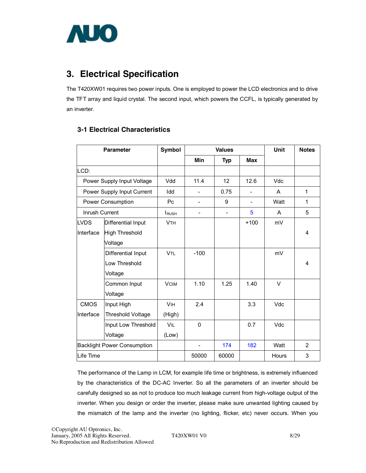

# **3. Electrical Specification**

The T420XW01 requires two power inputs. One is employed to power the LCD electronics and to drive the TFT array and liquid crystal. The second input, which powers the CCFL, is typically generated by an inverter.

## **3-1 Electrical Characteristics**

| <b>Parameter</b> |                                    | Symbol                |                              | <b>Values</b>            |                          | Unit  | <b>Notes</b>   |
|------------------|------------------------------------|-----------------------|------------------------------|--------------------------|--------------------------|-------|----------------|
|                  |                                    |                       | Min                          | <b>Typ</b>               | <b>Max</b>               |       |                |
| LCD:             |                                    |                       |                              |                          |                          |       |                |
|                  | Power Supply Input Voltage         | Vdd                   | 11.4                         | 12                       | 12.6                     | Vdc   |                |
|                  | Power Supply Input Current         | Idd                   | $\overline{\phantom{a}}$     | 0.75                     | $\overline{a}$           | A     | $\mathbf{1}$   |
|                  | Power Consumption                  | Pc                    | $\qquad \qquad \blacksquare$ | 9                        | $\overline{\phantom{0}}$ | Watt  | 1              |
| Inrush Current   |                                    | $I_{RUSH}$            |                              | $\overline{\phantom{0}}$ | 5                        | A     | 5              |
| <b>LVDS</b>      | Differential Input                 | <b>V<sub>TH</sub></b> |                              |                          | $+100$                   | mV    |                |
| Interface        | <b>High Threshold</b>              |                       |                              |                          |                          |       | 4              |
|                  | Voltage                            |                       |                              |                          |                          |       |                |
|                  | Differential Input                 | <b>VTL</b>            | $-100$                       |                          |                          | mV    |                |
|                  | Low Threshold                      |                       |                              |                          |                          |       | 4              |
|                  | Voltage                            |                       |                              |                          |                          |       |                |
|                  | Common Input                       | <b>VCIM</b>           | 1.10                         | 1.25                     | 1.40                     | V     |                |
|                  | Voltage                            |                       |                              |                          |                          |       |                |
| <b>CMOS</b>      | Input High                         | <b>V<sub>IH</sub></b> | 2.4                          |                          | 3.3                      | Vdc   |                |
| Interface        | <b>Threshold Voltage</b>           | (High)                |                              |                          |                          |       |                |
|                  | Input Low Threshold                | VIL                   | $\Omega$                     |                          | 0.7                      | Vdc   |                |
|                  | Voltage                            | (Low)                 |                              |                          |                          |       |                |
|                  | <b>Backlight Power Consumption</b> |                       |                              | 174                      | 182                      | Watt  | $\overline{2}$ |
| Life Time        |                                    |                       | 50000                        | 60000                    |                          | Hours | 3              |

The performance of the Lamp in LCM, for example life time or brightness, is extremely influenced by the characteristics of the DC-AC Inverter. So all the parameters of an inverter should be carefully designed so as not to produce too much leakage current from high-voltage output of the inverter. When you design or order the inverter, please make sure unwanted lighting caused by the mismatch of the lamp and the inverter (no lighting, flicker, etc) never occurs. When you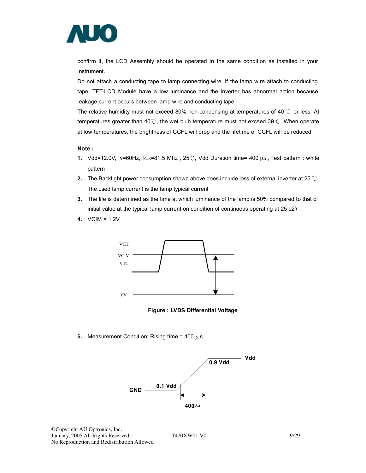

confirm it, the LCD Assembly should be operated in the same condition as installed in your instrument.

Do not attach a conducting tape to lamp connecting wire. If the lamp wire attach to conducting tape, TFT-LCD Module have a low luminance and the inverter has abnormal action because leakage current occurs between lamp wire and conducting tape.

The relative humidity must not exceed 80% non-condensing at temperatures of 40  $\degree$  or less. At temperatures greater than 40℃, the wet bulb temperature must not exceed 39℃. When operate at low temperatures, the brightness of CCFL will drop and the lifetime of CCFL will be reduced.

#### **Note :**

- **1.** Vdd=12.0V, fv=60Hz, fc<sub>LK</sub>=81.5 Mhz, 25℃, Vdd Duration time= 400 μ*s*, Test pattern : white pattern
- **2.** The Backlight power consumption shown above does include loss of external inverter at 25 ℃. The used lamp current is the lamp typical current
- **3.** The life is determined as the time at which luminance of the lamp is 50% compared to that of initial value at the typical lamp current on condition of continuous operating at  $25 \pm 2^{\circ}$ C.
- **4.** VCIM = 1.2V



**Figure : LVDS Differential Voltage** 

**5.** Measurement Condition: Rising time = 400  $\mu$  s

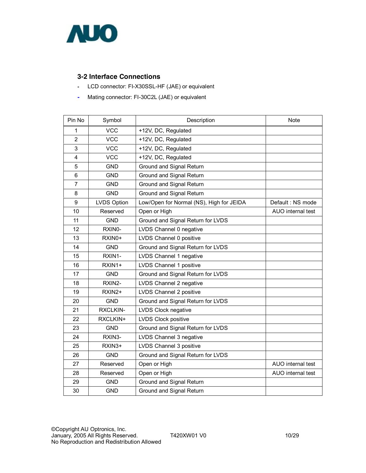

## **3-2 Interface Connections**

- LCD connector: FI-X30SSL-HF (JAE) or equivalent
- Mating connector: FI-30C2L (JAE) or equivalent

| Pin No         | Symbol              | Description                              | Note              |
|----------------|---------------------|------------------------------------------|-------------------|
| 1              | <b>VCC</b>          | +12V, DC, Regulated                      |                   |
| $\overline{2}$ | <b>VCC</b>          | +12V, DC, Regulated                      |                   |
| 3              | <b>VCC</b>          | +12V, DC, Regulated                      |                   |
| 4              | <b>VCC</b>          | +12V, DC, Regulated                      |                   |
| 5              | <b>GND</b>          | Ground and Signal Return                 |                   |
| 6              | <b>GND</b>          | Ground and Signal Return                 |                   |
| $\overline{7}$ | <b>GND</b>          | Ground and Signal Return                 |                   |
| 8              | <b>GND</b>          | Ground and Signal Return                 |                   |
| 9              | <b>LVDS Option</b>  | Low/Open for Normal (NS), High for JEIDA | Default: NS mode  |
| 10             | Reserved            | Open or High                             | AUO internal test |
| 11             | <b>GND</b>          | Ground and Signal Return for LVDS        |                   |
| 12             | RXIN0-              | LVDS Channel 0 negative                  |                   |
| 13             | RXIN <sub>0</sub> + | LVDS Channel 0 positive                  |                   |
| 14             | <b>GND</b>          | Ground and Signal Return for LVDS        |                   |
| 15             | RXIN1-              | LVDS Channel 1 negative                  |                   |
| 16             | RXIN1+              | LVDS Channel 1 positive                  |                   |
| 17             | <b>GND</b>          | Ground and Signal Return for LVDS        |                   |
| 18             | RXIN2-              | LVDS Channel 2 negative                  |                   |
| 19             | RXIN <sub>2</sub> + | LVDS Channel 2 positive                  |                   |
| 20             | <b>GND</b>          | Ground and Signal Return for LVDS        |                   |
| 21             | RXCLKIN-            | LVDS Clock negative                      |                   |
| 22             | RXCLKIN+            | LVDS Clock positive                      |                   |
| 23             | <b>GND</b>          | Ground and Signal Return for LVDS        |                   |
| 24             | RXIN3-              | LVDS Channel 3 negative                  |                   |
| 25             | RXIN3+              | LVDS Channel 3 positive                  |                   |
| 26             | <b>GND</b>          | Ground and Signal Return for LVDS        |                   |
| 27             | Reserved            | Open or High                             | AUO internal test |
| 28             | Reserved            | Open or High                             | AUO internal test |
| 29             | <b>GND</b>          | Ground and Signal Return                 |                   |
| 30             | <b>GND</b>          | Ground and Signal Return                 |                   |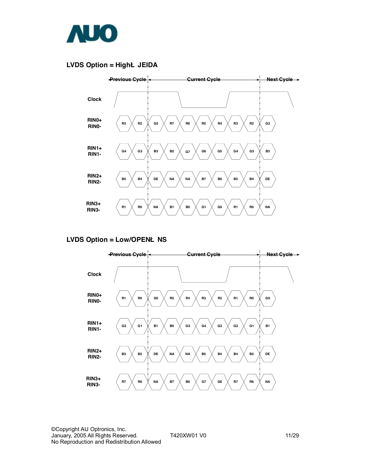

### **LVDS Option = HighË JEIDA**



### **LVDS Option = Low/OPENË NS**

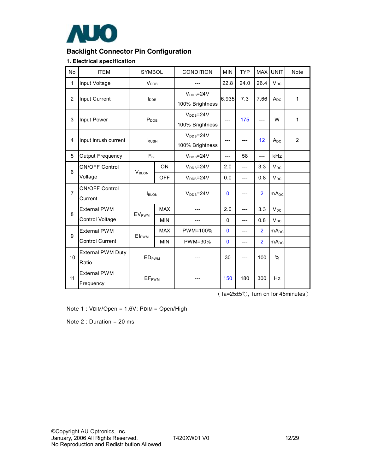

## **Backlight Connector Pin Configuration**

#### **1. Electrical specification**

| No             | <b>ITEM</b>                       | SYMBOL                   |            | CONDITION                                 | <b>MIN</b>   | <b>TYP</b>     | <b>MAX</b>     | <b>UNIT</b>      | Note         |
|----------------|-----------------------------------|--------------------------|------------|-------------------------------------------|--------------|----------------|----------------|------------------|--------------|
| 1              | Input Voltage                     | <b>V</b> <sub>DDB</sub>  |            |                                           | 22.8         | 24.0           | 26.4           | $V_{DC}$         |              |
| $\overline{2}$ | Input Current                     | $I_{\text{DDB}}$         |            | $V_{\text{DDB}} = 24V$<br>100% Brightness | 6.935        | 7.3            | 7.66           | $A_{DC}$         | $\mathbf{1}$ |
| 3              | Input Power                       | $P_{DDB}$                |            | $V_{\text{DDB}} = 24V$<br>100% Brightness | ---          | 175            | ---            | W                | 1            |
| $\overline{4}$ | Input inrush current              | <b>I</b> RUSH            |            | $V_{DDB} = 24V$<br>100% Brightness        | $---$        |                | 12             | $A_{DC}$         | 2            |
| 5              | Output Frequency                  | $F_{BL}$                 |            | $V_{\text{DDB}} = 24V$                    | ---          | 58             | $---$          | <b>kHz</b>       |              |
| 6              | <b>ON/OFF Control</b>             | V <sub>BLON</sub>        | ON         | $V_{\text{DDB}} = 24V$                    | 2.0          | ---            | 3.3            | $V_{DC}$         |              |
|                | Voltage                           |                          | <b>OFF</b> | $VDB=24V$                                 | 0.0          | $\overline{a}$ | 0.8            | $V_{DC}$         |              |
| $\overline{7}$ | <b>ON/OFF Control</b><br>Current  | I <sub>BLON</sub>        |            | $V_{DDB} = 24V$                           | $\mathbf{0}$ | ---            | $\overline{2}$ | mA <sub>DC</sub> |              |
| 8              | <b>External PWM</b>               | <b>EVPWM</b>             | <b>MAX</b> | ---                                       | 2.0          | $\overline{a}$ | 3.3            | $V_{DC}$         |              |
|                | Control Voltage                   |                          | <b>MIN</b> |                                           | $\Omega$     | ---            | 0.8            | $V_{DC}$         |              |
| 9              | <b>External PWM</b>               | <b>ElpwM</b>             | <b>MAX</b> | PWM=100%                                  | $\mathbf{0}$ | ---            | $\overline{2}$ | mA <sub>DC</sub> |              |
|                | <b>Control Current</b>            |                          | <b>MIN</b> | PWM=30%                                   | $\mathbf{0}$ | ---            | $\overline{2}$ | $mA_{DC}$        |              |
| 10             | <b>External PWM Duty</b><br>Ratio | <b>EDPWM</b>             |            |                                           | 30           |                | 100            | $\%$             |              |
| 11             | <b>External PWM</b><br>Frequency  | <b>EF</b> <sub>PWM</sub> |            |                                           | 150          | 180            | 300            | <b>Hz</b>        |              |

(Ta=25±5℃, Turn on for 45minutes)

Note 1 : VDIM/Open = 1.6V; PDIM = Open/High

Note 2 : Duration = 20 ms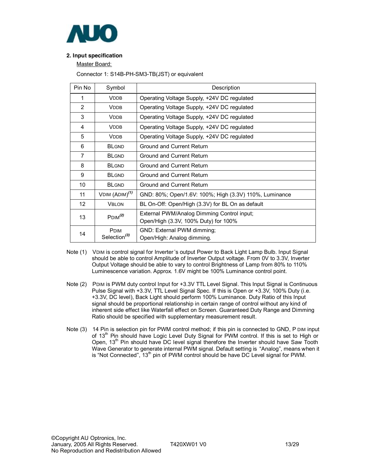

#### **2. Input specification**

Master Board:

Connector 1: S14B-PH-SM3-TB(JST) or equivalent

| Pin No         | Symbol                                  | Description                                                                        |
|----------------|-----------------------------------------|------------------------------------------------------------------------------------|
| 1              | <b>VDDB</b>                             | Operating Voltage Supply, +24V DC regulated                                        |
| 2              | <b>VDDB</b>                             | Operating Voltage Supply, +24V DC regulated                                        |
| 3              | <b>VDDB</b>                             | Operating Voltage Supply, +24V DC regulated                                        |
| 4              | <b>VDDB</b>                             | Operating Voltage Supply, +24V DC regulated                                        |
| 5              | <b>VDDB</b>                             | Operating Voltage Supply, +24V DC regulated                                        |
| 6              | <b>BLGND</b>                            | Ground and Current Return                                                          |
| $\overline{7}$ | <b>BLGND</b>                            | Ground and Current Return                                                          |
| 8              | <b>BLGND</b>                            | Ground and Current Return                                                          |
| 9              | <b>BLGND</b>                            | Ground and Current Return                                                          |
| 10             | <b>BLGND</b>                            | Ground and Current Return                                                          |
| 11             | VDIM $(ADM)^{(1)}$                      | GND: 80%; Open/1.6V: 100%; High (3.3V) 110%, Luminance                             |
| 12             | <b>VBLON</b>                            | BL On-Off: Open/High (3.3V) for BL On as default                                   |
| 13             | P <sub>DIM</sub> <sup>(2)</sup>         | External PWM/Analog Dimming Control input;<br>Open/High (3.3V, 100% Duty) for 100% |
| 14             | <b>PDIM</b><br>Selection <sup>(3)</sup> | GND: External PWM dimming;<br>Open/High: Analog dimming.                           |

- Note (1) VDIM is control signal for Inverter's output Power to Back Light Lamp Bulb. Input Signal should be able to control Amplitude of Inverter Output voltage. From 0V to 3.3V, Inverter Output Voltage should be able to vary to control Brightness of Lamp from 80% to 110% Luminescence variation. Approx. 1.6V might be 100% Luminance control point.
- Note (2) PDIM is PWM duty control Input for +3.3V TTL Level Signal. This Input Signal is Continuous Pulse Signal with +3.3V, TTL Level Signal Spec. If this is Open or +3.3V, 100% Duty (i.e. +3.3V, DC level), Back Light should perform 100% Luminance. Duty Ratio of this Input signal should be proportional relationship in certain range of control without any kind of inherent side effect like Waterfall effect on Screen. Guaranteed Duty Range and Dimming Ratio should be specified with supplementary measurement result.
- Note (3) 14 Pin is selection pin for PWM control method; if this pin is connected to GND, P DIM input of 13<sup>th</sup> Pin should have Logic Level Duty Signal for PWM control. If this is set to High or Open, 13<sup>th</sup> Pin should have DC level signal therefore the Inverter should have Saw Tooth Wave Generator to generate internal PWM signal. Default setting is "Analog", means when it is "Not Connected",  $13<sup>th</sup>$  pin of PWM control should be have DC Level signal for PWM.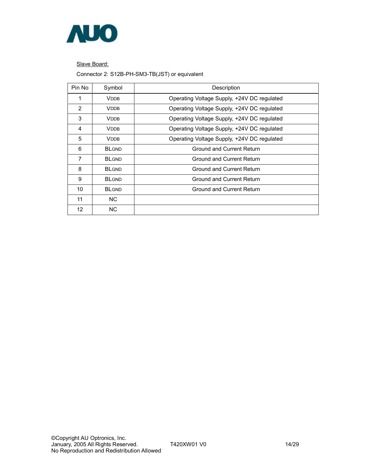

Slave Board:

Connector 2: S12B-PH-SM3-TB(JST) or equivalent

| Pin No         | Symbol       | Description                                 |
|----------------|--------------|---------------------------------------------|
|                | <b>VDDB</b>  | Operating Voltage Supply, +24V DC regulated |
| 2              | <b>VDDB</b>  | Operating Voltage Supply, +24V DC regulated |
| 3              | <b>VDDB</b>  | Operating Voltage Supply, +24V DC regulated |
| 4              | <b>VDDB</b>  | Operating Voltage Supply, +24V DC regulated |
| 5              | <b>VDDB</b>  | Operating Voltage Supply, +24V DC regulated |
| 6              | <b>BLGND</b> | Ground and Current Return                   |
| $\overline{7}$ | <b>BLGND</b> | Ground and Current Return                   |
| 8              | <b>BLGND</b> | Ground and Current Return                   |
| 9              | <b>BLGND</b> | Ground and Current Return                   |
| 10             | <b>BLGND</b> | Ground and Current Return                   |
| 11             | NC.          |                                             |
| 12             | NC.          |                                             |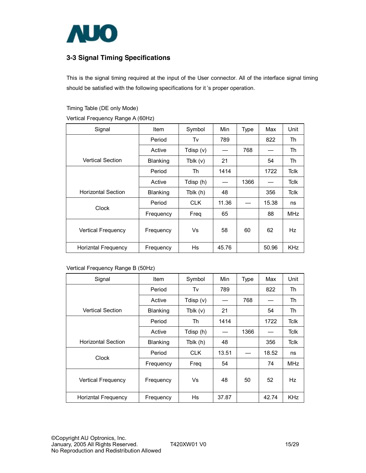

## **3-3 Signal Timing Specifications**

This is the signal timing required at the input of the User connector. All of the interface signal timing should be satisfied with the following specifications for it 's proper operation.

Timing Table (DE only Mode)

Vertical Frequency Range A (60Hz)

| Signal                     | <b>Item</b> | Symbol      | Min   | <b>Type</b> | Max   | Unit        |
|----------------------------|-------------|-------------|-------|-------------|-------|-------------|
|                            | Period      | Tv          | 789   |             | 822   | Th          |
|                            | Active      | Tdisp $(v)$ |       | 768         |       | Th          |
| <b>Vertical Section</b>    | Blanking    | Tblk $(v)$  | 21    |             | 54    | Th          |
|                            | Period      | Th          | 1414  |             | 1722  | <b>Tclk</b> |
|                            | Active      | Tdisp (h)   |       | 1366        |       | <b>Tclk</b> |
| <b>Horizontal Section</b>  | Blanking    | Tblk (h)    | 48    |             | 356   | <b>Tclk</b> |
| Clock                      | Period      | <b>CLK</b>  | 11.36 |             | 15.38 | ns          |
|                            | Frequency   | Freq        | 65    |             | 88    | MHz         |
| Vertical Frequency         | Frequency   | Vs          | 58    | 60          | 62    | Hz          |
| <b>Horizntal Frequency</b> | Frequency   | Hs          | 45.76 |             | 50.96 | <b>KHz</b>  |

Vertical Frequency Range B (50Hz)

| Signal                     | Item            | Symbol      | Min   | <b>Type</b> | Max   | Unit        |
|----------------------------|-----------------|-------------|-------|-------------|-------|-------------|
|                            | Period          | Tv          | 789   |             | 822   | Th          |
|                            | Active          | Tdisp $(v)$ |       | 768         |       | Th          |
| <b>Vertical Section</b>    | <b>Blanking</b> | Tblk $(v)$  | 21    |             | 54    | Th          |
|                            | Period          | Th          | 1414  |             | 1722  | <b>Tclk</b> |
|                            | Active          | Tdisp (h)   |       | 1366        |       | <b>Tclk</b> |
| <b>Horizontal Section</b>  | Blanking        | Tblk (h)    | 48    |             | 356   | <b>Tclk</b> |
| Clock                      | Period          | CLK.        | 13.51 |             | 18.52 | ns          |
|                            | Frequency       | Freg        | 54    |             | 74    | <b>MHz</b>  |
| Vertical Frequency         | Frequency       | Vs          | 48    | 50          | 52    | Hz          |
| <b>Horizntal Frequency</b> | Frequency       | Hs          | 37.87 |             | 42.74 | <b>KHz</b>  |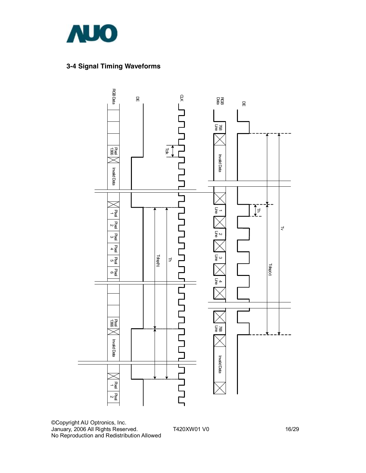

## **3-4 Signal Timing Waveforms**



©Copyright AU Optronics, Inc. January, 2006 All Rights Reserved. T420XW01 V0 16/29 No Reproduction and Redistribution Allowed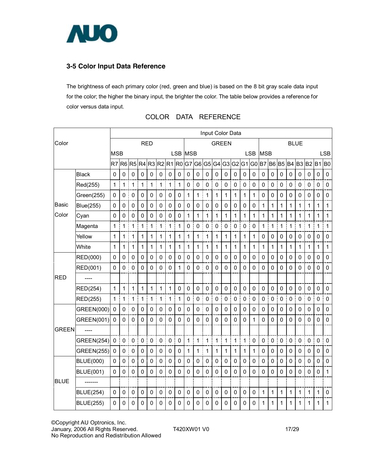

## **3-5 Color Input Data Reference**

The brightness of each primary color (red, green and blue) is based on the 8 bit gray scale data input for the color; the higher the binary input, the brighter the color. The table below provides a reference for color versus data input.

|              |                   | Input Color Data |             |                |             |             |                  |                |              |              |             |             |             |                |             |                |             |                |                |                |                  |                |             |                |                |
|--------------|-------------------|------------------|-------------|----------------|-------------|-------------|------------------|----------------|--------------|--------------|-------------|-------------|-------------|----------------|-------------|----------------|-------------|----------------|----------------|----------------|------------------|----------------|-------------|----------------|----------------|
| Color        |                   |                  |             | <b>RED</b>     |             |             |                  |                | <b>GREEN</b> |              |             |             |             | <b>BLUE</b>    |             |                |             |                |                |                |                  |                |             |                |                |
|              |                   | <b>MSB</b>       |             |                |             |             |                  |                | LSB MSB      |              |             |             |             |                |             |                | <b>LSB</b>  | <b>MSB</b>     |                |                |                  |                |             |                | <b>LSB</b>     |
|              |                   |                  | $R7$ $R6$   | R <sub>5</sub> | R4 R3 R2 R1 |             |                  |                |              |              | R0 G7 G6 G5 |             | G4          | G <sub>3</sub> |             |                | G2 G1 G0 B7 |                | <b>B6 B5</b>   |                | <b>B4</b>        | B <sub>3</sub> | <b>B2</b>   | B <sub>1</sub> | B <sub>0</sub> |
|              | <b>Black</b>      | 0                | $\mathbf 0$ | $\pmb{0}$      | $\mathbf 0$ | $\mathbf 0$ | $\mathbf 0$      | $\mathbf 0$    | $\mathbf 0$  | 0            | $\mathbf 0$ | $\mathbf 0$ | $\mathbf 0$ | $\pmb{0}$      | $\mathbf 0$ | $\mathbf 0$    | $\pmb{0}$   | $\pmb{0}$      | $\mathbf 0$    | 0              | $\mathbf 0$      | 0              | 0           | $\mathbf 0$    | $\mathbf 0$    |
|              | Red(255)          | 1                | 1           | 1              | 1           | 1           | İ<br>1           | 1              | 1            | 0            | $\mathbf 0$ | $\mathbf 0$ | 0           | $\mathbf 0$    | $\mathbf 0$ | 0<br>I         | $\mathbf 0$ | $\mathbf 0$    | $\mathbf 0$    | $\mathbf 0$    | į<br>$\mathbf 0$ | $\mathbf 0$    | $\pmb{0}$   | $\Omega$       | $\mathbf 0$    |
|              | Green(255)        | 0                | $\mathbf 0$ | $\mathbf 0$    | $\mathbf 0$ | $\mathbf 0$ | $\mathbf 0$      | $\mathbf 0$    | 0            | 1            | 1           | 1           | 1           | 1              | 1           | 1              | 1           | $\mathbf 0$    | $\mathbf 0$    | $\mathbf 0$    | 0                | $\mathbf 0$    | 0           | $\mathbf 0$    | $\mathbf 0$    |
| Basic        | Blue(255)         | 0                | 0           | $\pmb{0}$      | 0           | 0           | 0                | $\pmb{0}$      | 0            | 0            | 0           | $\pmb{0}$   | 0           | $\pmb{0}$      | $\mathbf 0$ | 0              | 0           | 1              | 1              | 1              | 1                | 1              | 1           | 1              | $\mathbf{1}$   |
| Color        | Cyan              | 0                | $\mathbf 0$ | $\mathbf 0$    | 0           | 0           | $\mathbf 0$      | $\mathbf 0$    | 0            | $\mathbf{1}$ | 1           | 1           | 1           | 1              | $\mathbf 1$ | 1              | 1           | $\overline{1}$ | $\overline{1}$ | 1              | 1                | 1              | 1           | 1              | 1              |
|              | Magenta           | 1                | 1           | $\mathbf 1$    | 1           | 1           | $\mathbf 1$<br>Î | 1              | 1            | 0            | $\mathbf 0$ | $\pmb{0}$   | $\mathbf 0$ | $\pmb{0}$      | $\pmb{0}$   | $\mathbf 0$    | 0           | $\mathbf{1}$   | 1              | 1              | 1<br>Ī           | $\mathbf 1$    | 1           | 1              | 1              |
|              | Yellow            | 1                | 1           | 1              | 1           | 1           | 1                | 1              | 1            | $\mathbf{1}$ | 1           | 1           | 1           | 1              | $\mathbf 1$ | 1              | 1           | $\mathbf 0$    | $\mathbf 0$    | $\mathbf 0$    | 0                | 0              | 0           | $\mathbf 0$    | 0              |
|              | White             | 1                | 1           | 1              | 1           | 1           | 1                | 1              | 1            | 1            | 1           | 1           | 1           | 1              | 1           | 1              | 1           | 1              | 1              | 1              | 1                | 1              | 1           | 1              | $\mathbf{1}$   |
|              | RED(000)          | 0                | 0           | 0              | 0           | 0           | 0                | 0              | 0            | 0            | $\mathbf 0$ | 0           | 0           | 0              | $\mathbf 0$ | 0              | 0           | 0              | 0              | 0              | 0                | 0              | 0           | 0              | $\pmb{0}$      |
|              | RED(001)          | 0                | 0           | $\mathbf 0$    | 0           | $\mathbf 0$ | $\mathbf 0$      | $\overline{0}$ | 1            | $\mathbf 0$  | $\Omega$    | $\mathbf 0$ | 0           | $\mathbf 0$    | $\mathbf 0$ | $\overline{0}$ | $\mathbf 0$ | $\mathbf 0$    | $\Omega$       | 0              | $\Omega$         | 0              | 0           | $\mathbf 0$    | $\mathbf 0$    |
| <b>RED</b>   |                   |                  |             |                |             |             |                  |                |              |              |             |             |             |                |             |                |             |                |                |                |                  |                |             |                |                |
|              | RED(254)          | 1                | 1           | 1              | 1           | 1           | $\mathbf 1$      | 1              | $\mathbf 0$  | 0            | $\mathbf 0$ | $\mathbf 0$ | $\mathbf 0$ | $\mathbf 0$    | $\mathbf 0$ | $\mathbf 0$    | $\mathbf 0$ | $\mathbf 0$    | $\mathbf 0$    | 0              | $\mathbf 0$      | $\mathbf 0$    | 0           | $\Omega$       | $\Omega$       |
|              | <b>RED(255)</b>   | $\mathbf{1}$     | 1           | $\mathbf{1}$   | 1           | $\mathbf 1$ | I<br>1           | $\mathbf{1}$   | 1            | 0            | $\mathbf 0$ | $\mathbf 0$ | $\mathbf 0$ | $\pmb{0}$      | $\mathbf 0$ | $\mathsf 0$    | $\mathbf 0$ | 0              | $\mathbf 0$    | $\mathbf 0$    | $\mathsf 0$<br>Ī | $\pmb{0}$      | $\pmb{0}$   | $\pmb{0}$      | $\mathbf 0$    |
|              | GREEN(000)        | 0                | 0           | $\pmb{0}$      | 0           | 0           | 0                | 0              | 0            | 0            | 0           | 0           | 0           | 0              | $\mathbf 0$ | 0              | $\mathbf 0$ | 0              | 0              | 0              | 0                | 0              | 0           | 0              | $\pmb{0}$      |
|              | GREEN(001)        | $\mathbf 0$      | 0           | $\mathbf 0$    | 0           | $\mathbf 0$ | $\mathbf 0$      | $\mathbf 0$    | $\Omega$     | 0            | $\Omega$    | $\mathbf 0$ | $\mathbf 0$ | $\mathbf 0$    | $\mathbf 0$ | 0              | 1           | $\overline{0}$ | $\mathbf{0}$   | $\overline{0}$ | 0                | $\mathbf 0$    | $\mathbf 0$ | 0              | $\mathbf 0$    |
| <b>GREEN</b> |                   |                  |             |                |             |             |                  |                |              |              |             |             |             |                |             |                |             |                |                |                |                  |                |             |                |                |
|              | <b>GREEN(254)</b> | 0                | $\mathbf 0$ | $\mathbf 0$    | 0           | $\mathbf 0$ | $\mathbf 0$      | $\mathbf 0$    | $\mathbf 0$  | $\mathbf{1}$ | 1           | 1           | 1           | 1              | 1           | 1<br>I         | 0           | $\mathbf 0$    | $\mathbf 0$    | $\mathbf 0$    | $\mathbf 0$<br>I | $\pmb{0}$      | $\pmb{0}$   | $\mathbf 0$    | $\mathbf 0$    |
|              | <b>GREEN(255)</b> | $\mathbf 0$      | $\pmb{0}$   | $\pmb{0}$      | $\pmb{0}$   | 0           | $\pmb{0}$        | $\mathbf 0$    | 0            | 1            | 1           | 1           | 1           | 1              | 1           | 1              | 1           | $\mathbf 0$    | $\mathbf 0$    | $\mathbf 0$    | $\mathbf 0$      | $\pmb{0}$      | 0           | $\pmb{0}$      | 0              |
|              | <b>BLUE(000)</b>  | 0                | 0           | $\pmb{0}$      | 0           | 0           | 0                | 0              | 0            | 0            | 0           | 0           | 0           | 0              | 0           | 0              | 0           | 0              | 0              | 0              | 0                | 0              | 0           | 0              | $\mathbf 0$    |
|              | <b>BLUE(001)</b>  | 0                | 0           | $\mathbf 0$    | 0           | $\mathbf 0$ | $\mathbf 0$      | $\mathbf 0$    | 0            | $\mathbf 0$  | $\Omega$    | $\mathbf 0$ | 0           | $\mathbf 0$    | $\mathbf 0$ | $\mathbf 0$    | 0           | $\mathbf 0$    | $\overline{0}$ | 0              | $\Omega$         | 0              | $\mathbf 0$ | $\mathbf 0$    | 1              |
| <b>BLUE</b>  |                   |                  |             |                |             |             |                  |                |              |              |             |             |             |                |             |                |             |                |                |                |                  |                |             |                |                |
|              | <b>BLUE(254)</b>  | $\Omega$         | 0           | $\mathbf{0}$   | $\Omega$    | $\mathbf 0$ | $\Omega$         | $\mathbf 0$    | $\mathbf 0$  | 0            | $\mathbf 0$ | $\mathbf 0$ | $\mathbf 0$ | $\mathbf 0$    | $\mathbf 0$ | $\mathbf 0$    | $\mathbf 0$ | $\mathbf{1}$   | $\mathbf{1}$   | $\mathbf 1$    | $\mathbf 1$      | 1              | 1           | 1              | $\Omega$       |
|              | <b>BLUE(255)</b>  | 0                | 0           | 0              | 0           | 0           | $\mathsf 0$      | $\mathbf 0$    | 0            | $\mathbf 0$  | 0           | 0           | 0           | 0              | 0           | $\mathbf 0$    | 0           | 1              | 1              | 1              | 1                | 1              | 1           | 1              | 1              |

## COLOR DATA REFERENCE

©Copyright AU Optronics, Inc. January, 2006 All Rights Reserved. T420XW01 V0 17/29 No Reproduction and Redistribution Allowed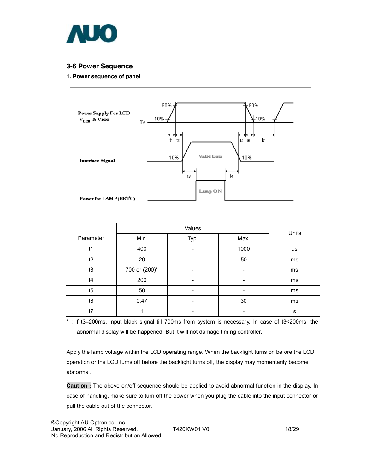

### **3-6 Power Sequence**

#### **1. Power sequence of panel**



|           |               | Units                    |      |           |
|-----------|---------------|--------------------------|------|-----------|
| Parameter | Min.          | Typ.                     | Max. |           |
| t1        | 400           |                          | 1000 | <b>us</b> |
| t2        | 20            | -                        | 50   | ms        |
| t3        | 700 or (200)* | -                        | ٠    | ms        |
| t4        | 200           | -                        |      | ms        |
| t5        | 50            | $\overline{\phantom{0}}$ |      | ms        |
| t6        | 0.47          | -                        | 30   | ms        |
| t7        |               | $\overline{\phantom{0}}$ |      | s         |

\* : If t3=200ms, input black signal till 700ms from system is necessary. In case of t3<200ms, the abnormal display will be happened. But it will not damage timing controller.

Apply the lamp voltage within the LCD operating range. When the backlight turns on before the LCD operation or the LCD turns off before the backlight turns off, the display may momentarily become abnormal.

**Caution :** The above on/off sequence should be applied to avoid abnormal function in the display. In case of handling, make sure to turn off the power when you plug the cable into the input connector or pull the cable out of the connector.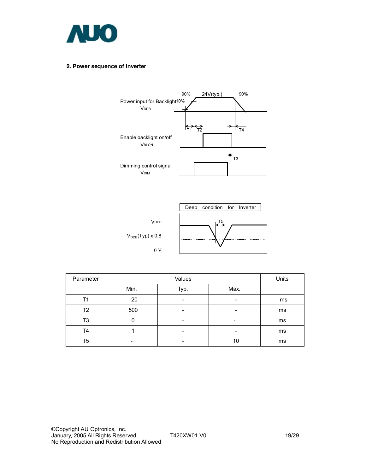

#### **2. Power sequence of inverter**





| Parameter |      | Units |      |    |
|-----------|------|-------|------|----|
|           | Min. | Typ.  | Max. |    |
| Τ1        | 20   | -     | -    | ms |
| T2        | 500  | -     | -    | ms |
| T3        |      | -     | -    | ms |
| T4        |      | -     | -    | ms |
| T5        |      |       | 10   | ms |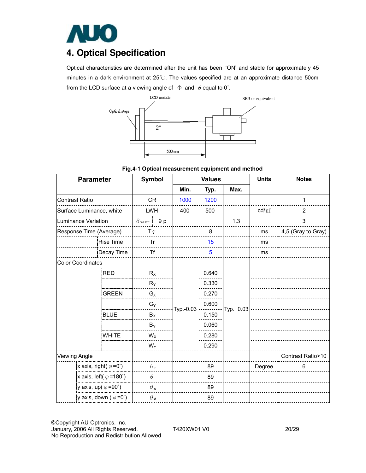

# **4. Optical Specification**

Optical characteristics are determined after the unit has been 'ON' and stable for approximately 45 minutes in a dark environment at 25℃. The values specified are at an approximate distance 50cm from the LCD surface at a viewing angle of  $\Phi$  and  $\theta$  equal to 0°.



**Fig.4-1 Optical measurement equipment and method** 

| <b>Parameter</b>                       | <b>Symbol</b> |                        |                | <b>Values</b> |                | <b>Units</b> | <b>Notes</b>    |                    |
|----------------------------------------|---------------|------------------------|----------------|---------------|----------------|--------------|-----------------|--------------------|
|                                        |               |                        |                | Min.          | Typ.           | Max.         |                 |                    |
| <b>Contrast Ratio</b>                  |               | <b>CR</b>              |                | 1000          | 1200           |              |                 | 1                  |
| Surface Luminance, white               |               | <b>LWH</b>             |                | 400           | 500            |              | $\text{cd/m}^2$ | $\overline{2}$     |
| Luminance Variation                    |               | $\delta$ white $1$ 9 p |                |               |                | 1.3          |                 | 3                  |
| Response Time (Average)                |               | T $\gamma$             |                |               | 8              |              | ms              | 4,5 (Gray to Gray) |
|                                        | Rise Time     | Tr                     |                |               | 15             |              | ms              |                    |
|                                        | Decay Time    | <b>Tf</b>              |                |               | $5\phantom{1}$ |              | ms              |                    |
| <b>Color Coordinates</b>               |               |                        |                |               |                |              |                 |                    |
|                                        | <b>RED</b>    | $R_X$                  |                |               | 0.640          |              |                 |                    |
|                                        | $R_Y$         |                        |                |               | 0.330          |              |                 |                    |
| <b>GREEN</b>                           |               | $G_X$<br>$G_Y$         |                | $Typ.-0.03$   | 0.270          |              |                 |                    |
|                                        |               |                        |                |               | 0.600          | $Typ.+0.03$  |                 |                    |
|                                        | <b>BLUE</b>   |                        | $B_X$<br>$B_Y$ |               | 0.150          |              |                 |                    |
|                                        |               |                        |                |               | 0.060          |              |                 |                    |
|                                        | <b>WHITE</b>  | $W_X$                  |                |               | 0.280          |              |                 |                    |
|                                        |               | $W_Y$                  |                |               | 0.290          |              |                 |                    |
| <b>Viewing Angle</b>                   |               |                        |                |               |                |              |                 | Contrast Ratio>10  |
| x axis, right( $\varphi = 0^{\circ}$ ) |               | $\theta_{\rm r}$       |                |               | 89             |              | Degree          | 6                  |
| x axis, left( $\varphi$ =180°)         |               | $\theta_1$             |                |               | 89             |              |                 |                    |
| y axis, up( $\varphi$ =90°)            |               | $\theta$ u             |                |               | 89             |              |                 |                    |
| y axis, down ( $\varphi = 0^{\circ}$ ) |               | $\theta$ d             |                |               | 89             |              |                 |                    |

©Copyright AU Optronics, Inc. January, 2006 All Rights Reserved. T420XW01 V0 20/29 No Reproduction and Redistribution Allowed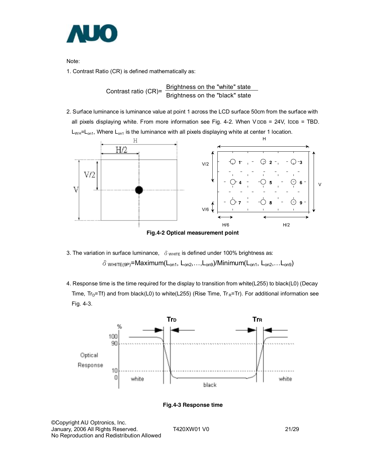

Note:

1. Contrast Ratio (CR) is defined mathematically as:

Contrast ratio (CR)=  $\frac{\text{Brighness on the "white" state}}{\text{Brighness on the "black" state}}$ 

2. Surface luminance is luminance value at point 1 across the LCD surface 50cm from the surface with all pixels displaying white. From more information see Fig. 4-2. When V DDB = 24V, IDDB = TBD.  $L_{WH}$ = $L_{on1}$ , Where  $L_{on1}$  is the luminance with all pixels displaying white at center 1 location.



3. The variation in surface luminance,  $\delta$  w<sub>HITE</sub> is defined under 100% brightness as:  $\delta$  white (9P)=Maximum(L<sub>on1</sub>, L<sub>on2</sub>,...,L<sub>on9</sub>)/Minimum(L<sub>on1</sub>, L<sub>on2</sub>,...L<sub>on9</sub>)

4. Response time is the time required for the display to transition from white(L255) to black(L0) (Decay Time,  $Tr_D=Tr$ ) and from black(L0) to white(L255) (Rise Time,  $Tr_R=Tr$ ). For additional information see Fig. 4-3.



**Fig.4-3 Response time** 

©Copyright AU Optronics, Inc. January, 2006 All Rights Reserved. T420XW01 V0 21/29 No Reproduction and Redistribution Allowed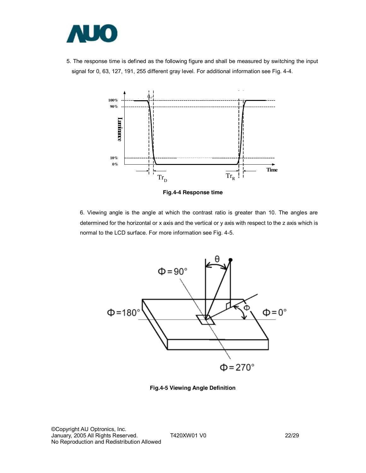

5. The response time is defined as the following figure and shall be measured by switching the input signal for 0, 63, 127, 191, 255 different gray level. For additional information see Fig. 4-4.



**Fig.4-4 Response time** 

6. Viewing angle is the angle at which the contrast ratio is greater than 10. The angles are determined for the horizontal or x axis and the vertical or y axis with respect to the z axis which is normal to the LCD surface. For more information see Fig. 4-5.



**Fig.4-5 Viewing Angle Definition**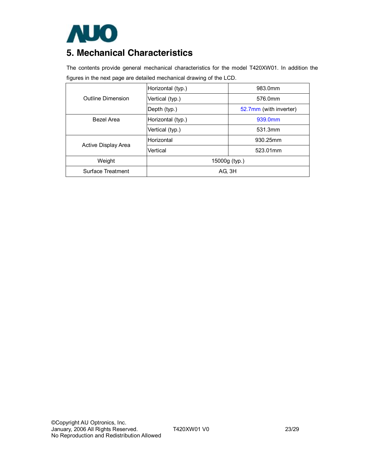

# **5. Mechanical Characteristics**

The contents provide general mechanical characteristics for the model T420XW01. In addition the figures in the next page are detailed mechanical drawing of the LCD.

|                     | Horizontal (typ.) | 983.0mm                |  |  |  |  |
|---------------------|-------------------|------------------------|--|--|--|--|
| Outline Dimension   | Vertical (typ.)   | 576.0mm                |  |  |  |  |
|                     | Depth (typ.)      | 52.7mm (with inverter) |  |  |  |  |
| Bezel Area          | Horizontal (typ.) | 939.0mm                |  |  |  |  |
|                     | Vertical (typ.)   | 531.3mm                |  |  |  |  |
|                     | Horizontal        | 930.25mm               |  |  |  |  |
| Active Display Area | Vertical          | 523.01mm               |  |  |  |  |
| Weight              | 15000g (typ.)     |                        |  |  |  |  |
| Surface Treatment   | AG, 3H            |                        |  |  |  |  |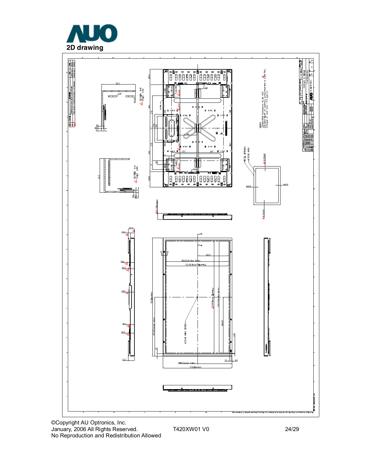



©Copyright AU Optronics, Inc. January, 2006 All Rights Reserved. T420XW01 V0 24/29 No Reproduction and Redistribution Allowed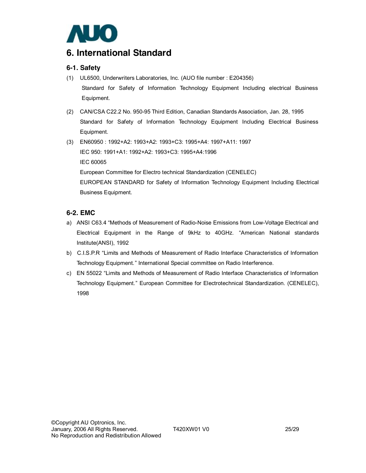

## **6. International Standard**

### **6-1. Safety**

- (1) UL6500, Underwriters Laboratories, Inc. (AUO file number : E204356) Standard for Safety of Information Technology Equipment Including electrical Business Equipment.
- (2) CAN/CSA C22.2 No. 950-95 Third Edition, Canadian Standards Association, Jan. 28, 1995 Standard for Safety of Information Technology Equipment Including Electrical Business Equipment.
- (3) EN60950 : 1992+A2: 1993+A2: 1993+C3: 1995+A4: 1997+A11: 1997 IEC 950: 1991+A1: 1992+A2: 1993+C3: 1995+A4:1996 IEC 60065 European Committee for Electro technical Standardization (CENELEC)

EUROPEAN STANDARD for Safety of Information Technology Equipment Including Electrical Business Equipment.

### **6-2. EMC**

- a) ANSI C63.4 "Methods of Measurement of Radio-Noise Emissions from Low-Voltage Electrical and Electrical Equipment in the Range of 9kHz to 40GHz. "American National standards Institute(ANSI), 1992
- b) C.I.S.P.R "Limits and Methods of Measurement of Radio Interface Characteristics of Information Technology Equipment." International Special committee on Radio Interference.
- c) EN 55022 "Limits and Methods of Measurement of Radio Interface Characteristics of Information Technology Equipment." European Committee for Electrotechnical Standardization. (CENELEC), 1998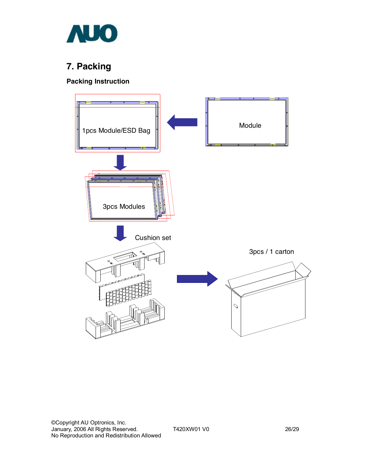

# **7. Packing**

## **Packing Instruction**

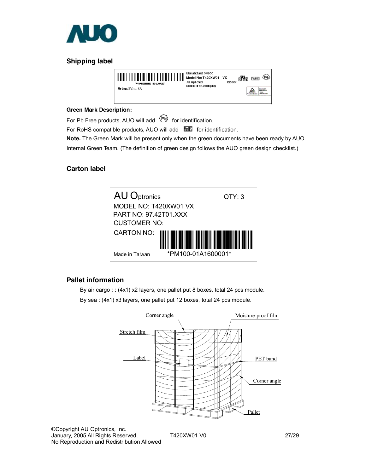

## **Shipping label**



#### **Green Mark Description:**

For Pb Free products, AUO will add  $\bullet$  for identification.

For RoHS compatible products, AUO will add ELIS for identification.

**Note.** The Green Mark will be present only when the green documents have been ready by AUO

Internal Green Team. (The definition of green design follows the AUO green design checklist.)

### **Carton label**



## **Pallet information**

By air cargo : : (4x1) x2 layers, one pallet put 8 boxes, total 24 pcs module.

By sea : (4x1) x3 layers, one pallet put 12 boxes, total 24 pcs module.



©Copyright AU Optronics, Inc. January, 2005 All Rights Reserved. T420XW01 V0 27/29 No Reproduction and Redistribution Allowed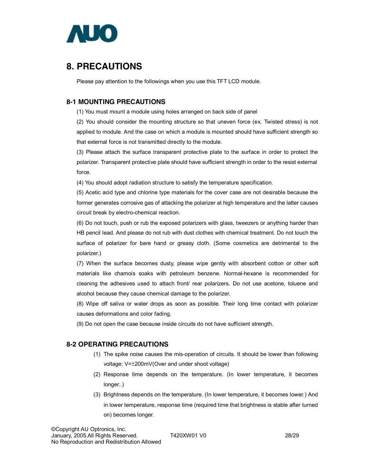

# **8. PRECAUTIONS**

Please pay attention to the followings when you use this TFT LCD module.

### **8-1 MOUNTING PRECAUTIONS**

(1) You must mount a module using holes arranged on back side of panel

(2) You should consider the mounting structure so that uneven force (ex. Twisted stress) is not applied to module. And the case on which a module is mounted should have sufficient strength so that external force is not transmitted directly to the module.

(3) Please attach the surface transparent protective plate to the surface in order to protect the polarizer. Transparent protective plate should have sufficient strength in order to the resist external force.

(4) You should adopt radiation structure to satisfy the temperature specification.

(5) Acetic acid type and chlorine type materials for the cover case are not desirable because the former generates corrosive gas of attacking the polarizer at high temperature and the latter causes circuit break by electro-chemical reaction.

(6) Do not touch, push or rub the exposed polarizers with glass, tweezers or anything harder than HB pencil lead. And please do not rub with dust clothes with chemical treatment. Do not touch the surface of polarizer for bare hand or greasy cloth. (Some cosmetics are detrimental to the polarizer.)

(7) When the surface becomes dusty, please wipe gently with absorbent cotton or other soft materials like chamois soaks with petroleum benzene. Normal-hexane is recommended for cleaning the adhesives used to attach front/ rear polarizers. Do not use acetone, toluene and alcohol because they cause chemical damage to the polarizer.

(8) Wipe off saliva or water drops as soon as possible. Their long time contact with polarizer causes deformations and color fading.

(9) Do not open the case because inside circuits do not have sufficient strength.

### **8-2 OPERATING PRECAUTIONS**

- (1) The spike noise causes the mis-operation of circuits. It should be lower than following voltage: V=±200mV(Over and under shoot voltage)
- (2) Response time depends on the temperature. (In lower temperature, it becomes longer..)
- (3) Brightness depends on the temperature. (In lower temperature, it becomes lower.) And in lower temperature, response time (required time that brightness is stable after turned on) becomes longer.